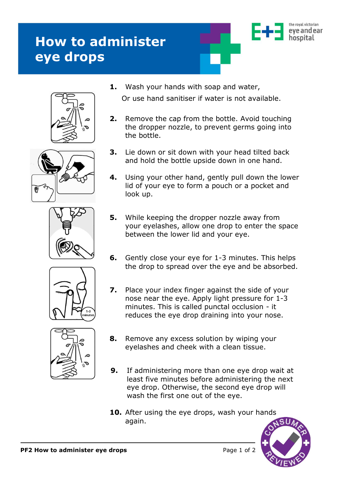## **How to administer eye drops**











**1.** Wash your hands with soap and water,

Or use hand sanitiser if water is not available.

- **2.** Remove the cap from the bottle. Avoid touching the dropper nozzle, to prevent germs going into the bottle.
- **3.** Lie down or sit down with your head tilted back and hold the bottle upside down in one hand.
- **4.** Using your other hand, gently pull down the lower lid of your eye to form a pouch or a pocket and look up.
- **5.** While keeping the dropper nozzle away from your eyelashes, allow one drop to enter the space between the lower lid and your eye.
- **6.** Gently close your eye for 1-3 minutes. This helps the drop to spread over the eye and be absorbed.
- **7.** Place your index finger against the side of your nose near the eye. Apply light pressure for 1-3 minutes. This is called punctal occlusion - it reduces the eye drop draining into your nose.
- **8.** Remove any excess solution by wiping your eyelashes and cheek with a clean tissue.
- **9.** If administering more than one eye drop wait at least five minutes before administering the next eye drop. Otherwise, the second eye drop will wash the first one out of the eye.
- **10.** After using the eye drops, wash your hands again.



the roval victorian eve and ear hosnital